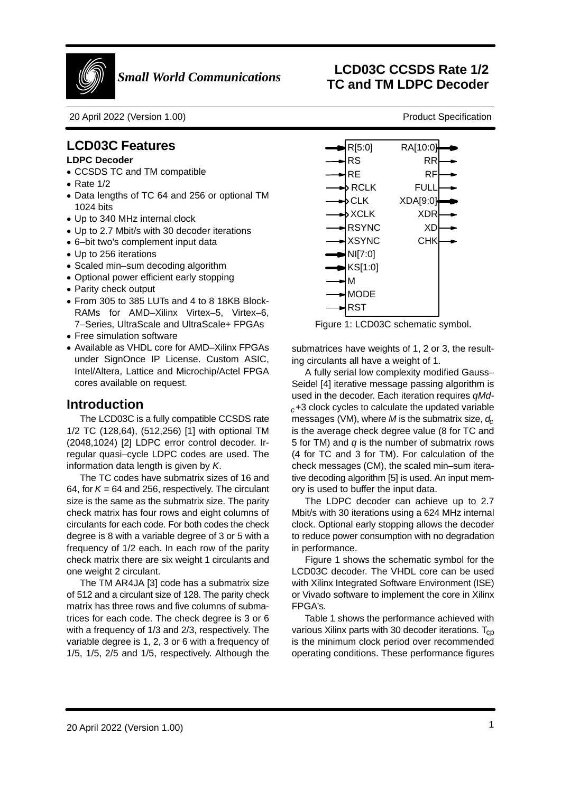

20 April 2022 (Version 1.00)

## **LCD03C Features**

## **LDPC Decoder**

- CCSDS TC and TM compatible
- Rate 1/2
- Data lengths of TC 64 and 256 or optional TM1024 bits
- Up to 340 MHz internal clock
- Up to 2.7 Mbit/s with 30 decoder iterations
- 6–bit two's complement input data
- Up to 256 iterations
- Scaled min–sum decoding algorithm
- Optional power efficient early stopping
- Parity check output
- From 305 to 385 LUTs and 4 to 8 18KB Block- RAMs for AMD–Xilinx Virtex–5, Virtex–6,7–Series, UltraScale and UltraScale+ FPGAs
- Free simulation software
- Available as VHDL core for AMD–Xilinx FPGAs under SignOnce IP License. Custom ASIC,Intel/Altera, Lattice and Microchip/Actel FPGAcores available on request.

## **Introduction**

 The LCD03C is a fully compatible CCSDS rate 1/2 TC (128,64), (512,256) [1] with optional TM (2048,1024) [2] LDPC error control decoder. Ir regular quasi–cycle LDPC codes are used. Theinformation data length is given by K.

 The TC codes have submatrix sizes of 16 and64, for  $\mathcal{K}$  = 64 and 256, respectively. The circulant size is the same as the submatrix size. The parity check matrix has four rows and eight columns ofcirculants for each code. For both codes the check degree is 8 with a variable degree of 3 or 5 with a frequency of 1/2 each. In each row of the parity check matrix there are six weight 1 circulants andone weight 2 circulant.

The TM AR4JA [3] code has a submatrix size of 512 and a circulant size of 128. The parity check matrix has three rows and five columns of submatrices for each code. The check degree is 3 or 6 with a frequency of 1/3 and 2/3, respectively. The variable degree is 1, 2, 3 or 6 with a frequency of1/5, 1/5, 2/5 and 1/5, respectively. Although the



Figure 1: LCD03C schematic symbol.

submatrices have weights of 1, 2 or 3, the resulting circulants all have a weight of 1.

A fully serial low complexity modified Gauss– Seidel [4] iterative message passing algorithm isused in the decoder. Each iteration requires qMd $c+3$  clock cycles to calculate the updated variable messages (VM), where  $M$  is the submatrix size,  $d_{\!c}$  is the average check degree value (8 for TC and5 for TM) and  $q$  is the number of submatrix rows (4 for TC and 3 for TM). For calculation of the check messages (CM), the scaled min–sum itera tive decoding algorithm [5] is used. An input memory is used to buffer the input data.

 The LDPC decoder can achieve up to 2.7 Mbit/s with 30 iterations using a 624 MHz internalclock. Optional early stopping allows the decoder to reduce power consumption with no degradationin performance.

 Figure 1 shows the schematic symbol for the LCD03C decoder. The VHDL core can be used with Xilinx Integrated Software Environment (ISE) or Vivado software to implement the core in XilinxFPGA's.

Table 1 shows the performance achieved withvarious Xilinx parts with 30 decoder iterations.  $\mathsf{T}_{\texttt{cp}}$  is the minimum clock period over recommendedoperating conditions. These performance figures

# **LCD03C CCSDS Rate 1/2 TC and TM LDPC Decoder**

Product Specification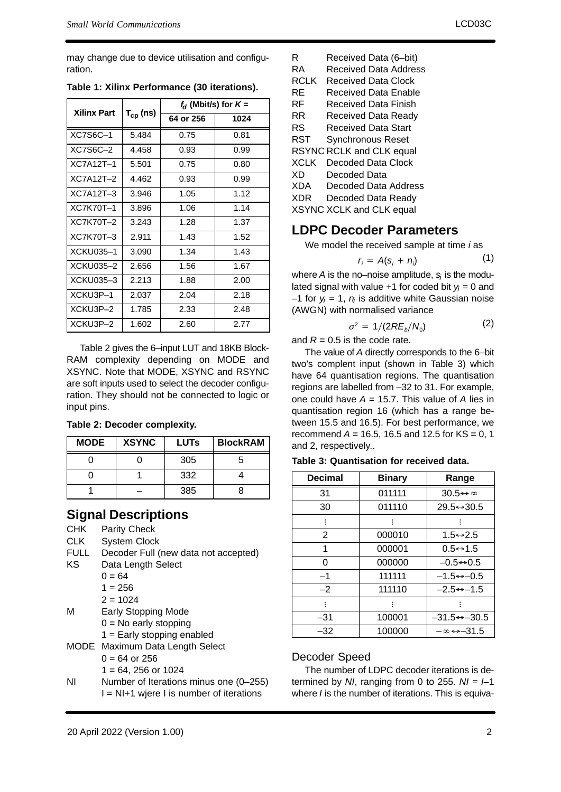may change due to device utilisation and configuration.

| <b>Xilinx Part</b> |                      | $f_d$ (Mbit/s) for $K =$ |      |
|--------------------|----------------------|--------------------------|------|
|                    | T <sub>cp</sub> (ns) | 64 or 256                | 1024 |
| <b>XC7S6C-1</b>    | 5.484                | 0.75                     | 0.81 |
| XC7S6C-2           | 4.458                | 0.93                     | 0.99 |
| <b>XC7A12T-1</b>   | 5.501                | 0.75                     | 0.80 |
| $XC7A12T-2$        | 4.462                | 0.93                     | 0.99 |
| $XC7A12T-3$        | 3.946                | 1.05                     | 1.12 |
| <b>XC7K70T-1</b>   | 3.896                | 1.06                     | 1.14 |
| XC7K70T-2          | 3.243                | 1.28                     | 1.37 |
| XC7K70T-3          | 2.911                | 1.43                     | 1.52 |
| XCKU035-1          | 3.090                | 1.34                     | 1.43 |
| XCKU035-2          | 2.656                | 1.56                     | 1.67 |
| XCKU035-3          | 2.213                | 1.88                     | 2.00 |
| XCKU3P-1           | 2.037                | 2.04                     | 2.18 |
| XCKU3P-2           | 1.785                | 2.33                     | 2.48 |
| XCKU3P-2           | 1.602                | 2.60                     | 2.77 |

**Table 1: Xilinx Performance (30 iterations).**

Table 2 gives the 6–input LUT and 18KB Block- RAM complexity depending on MODE and XSYNC. Note that MODE, XSYNC and RSYNC are soft inputs used to select the decoder configu ration. They should not be connected to logic orinput pins.

|  |  | Table 2: Decoder complexity. |
|--|--|------------------------------|
|--|--|------------------------------|

| <b>MODE</b> | <b>XSYNC</b> | <b>LUTs</b> | <b>BlockRAM</b> |
|-------------|--------------|-------------|-----------------|
|             |              | 305         |                 |
|             |              | 332         |                 |
|             |              | 385         | x               |

## **Signal Descriptions**

|             | טושועו וטכסט וגוועוט                     |
|-------------|------------------------------------------|
| <b>CHK</b>  | <b>Parity Check</b>                      |
| <b>CLK</b>  | <b>System Clock</b>                      |
| <b>FULL</b> | Decoder Full (new data not accepted)     |
| KS          | Data Length Select                       |
|             | $0 = 64$                                 |
|             | $1 = 256$                                |
|             | $2 = 1024$                               |
| M           | Early Stopping Mode                      |
|             | $0 = No$ early stopping                  |
|             | $1 =$ Early stopping enabled             |
|             | MODE Maximum Data Length Select          |
|             | $0 = 64$ or 256                          |
|             | $1 = 64, 256$ or 1024                    |
| ΝI          | Number of Iterations minus one (0-255)   |
|             | I = NI+1 wjere I is number of iterations |

| R           | Received Data (6-bit)    |
|-------------|--------------------------|
| RA          | Received Data Address    |
| RCLK        | Received Data Clock      |
| RE          | Received Data Enable     |
| RF          | Received Data Finish     |
| RR          | Received Data Ready      |
| RS          | Received Data Start      |
| RST         | <b>Synchronous Reset</b> |
|             | RSYNC RCLK and CLK equal |
| <b>XCLK</b> | Decoded Data Clock       |
| XD          | Decoded Data             |
| XDA         | Decoded Data Address     |
| XDR         | Decoded Data Ready       |
|             | XSYNC XCLK and CLK equal |
|             |                          |

## **LDPC Decoder Parameters**

We model the received sample at time *i* as

$$
r_i = A(s_i + n_i) \tag{1}
$$

where A is the no–noise amplitude,  $s_i$  is the modulated signal with value +1 for coded bit  $y_j$  = 0 and –1 for  $y_i$  = 1,  $n_i$  is additive white Gaussian noise (AWGN) with normalised variance

$$
\sigma^2 = 1/(2RE_b/N_0)
$$
 (2)

 $\sigma^2 = \frac{1}{2} R E_b/N_c$  and  $R$  = 0.5 is the code rate.

 The value of A directly corresponds to the 6–bittwo's complent input (shown in Table 3) which have 64 quantisation regions. The quantisation regions are labelled from –32 to 31. For example,one could have  $A = 15.7$ . This value of A lies in quantisation region 16 (which has a range be tween 15.5 and 16.5). For best performance, werecommend A = 16.5, 16.5 and 12.5 for KS = 0, 1 and 2, respectively..

|  | Table 3: Quantisation for received data. |  |  |  |
|--|------------------------------------------|--|--|--|
|--|------------------------------------------|--|--|--|

| <b>Decimal</b> | <b>Binary</b> | Range                           |
|----------------|---------------|---------------------------------|
| 31             | 011111        | $30.5 \leftrightarrow \infty$   |
| 30             | 011110        | $29.5 \rightarrow 30.5$         |
| ፡              |               |                                 |
| $\overline{2}$ | 000010        | $1.5 \rightarrow 2.5$           |
| 1              | 000001        | $0.5 \rightarrow 1.5$           |
| ი              | 000000        | $-0.5 \leftrightarrow 0.5$      |
| $-1$           | 111111        | $-1.5 \leftrightarrow -0.5$     |
| $-2$           | 111110        | $-2.5 \leftrightarrow -1.5$     |
| ፡              |               |                                 |
| $-31$          | 100001        | $-31.5 \rightarrow -30.5$       |
| $-32$          | 100000        | $-\infty \leftrightarrow -31.5$ |

## Decoder Speed

 The number of LDPC decoder iterations is determined by NI, ranging from 0 to 255.  $NI = I-1$ where  $I$  is the number of iterations. This is equiva-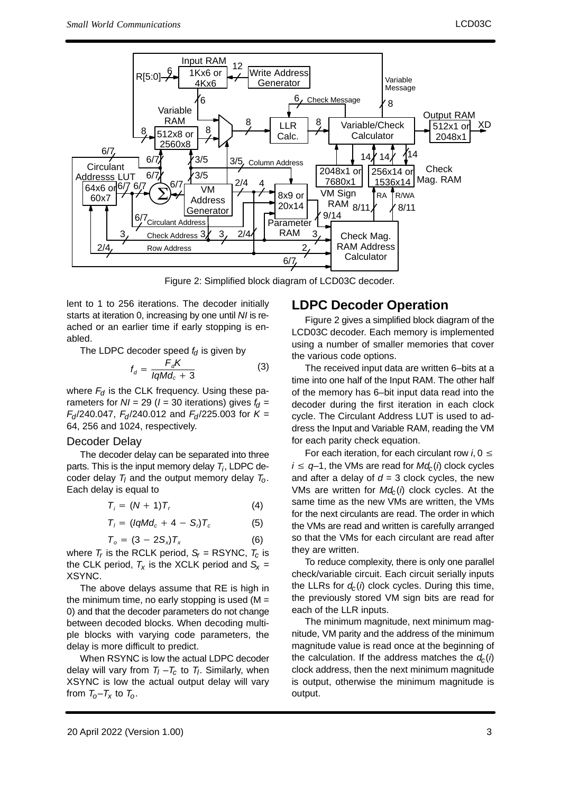

Figure 2: Simplified block diagram of LCD03C decoder.

lent to 1 to 256 iterations. The decoder initially starts at iteration 0, increasing by one until NI is re ached or an earlier time if early stopping is enabled.

The LDPC decoder speed  $f_d$  is given by

$$
f_d = \frac{F_d K}{IqMd_c + 3} \tag{3}
$$

where  $F_{\!d}$  is the CLK frequency. Using these parameters for  $NI = 29$  ( $I = 30$  iterations) gives  $f_d =$  $F_{d}/240.047$ ,  $F_{d}/240.012$  and  $F_{d}/225.003$  for K = 64, 256 and 1024, respectively.

#### Decoder Delay

 The decoder delay can be separated into threeparts. This is the input memory delay  $T_i$ , LDPC decoder delay  $T_l$  and the output memory delay  $T_o$ . Each delay is equal to

$$
T_i = (N+1)T_r \tag{4}
$$

$$
T_i = (IqMd_c + 4 - S_i)T_c \tag{5}
$$

$$
T_o = (3 - 2S_x)T_x \tag{6}
$$

 $T_o = (3 - 2S_x)T_x$  (6)<br>where  $T_r$  is the RCLK period,  $S_r$  = RSYNC,  $T_c$  is the CLK period,  $\mathcal{T}_\mathsf{X}$  is the XCLK period and  $\mathsf{S}_\mathsf{X}$  = XSYNC.

The above delays assume that RE is high in the minimum time, no early stopping is used (M = 0) and that the decoder parameters do not change between decoded blocks. When decoding multiple blocks with varying code parameters, thedelay is more difficult to predict.

When RSYNC is low the actual LDPC decoderdelay will vary from  $T_l$  – $T_c$  to  $T_l$ . Similarly, when XSYNC is low the actual output delay will varyfrom  $T_{o}-T_{x}$  to  $T_{o}$ .

## **LDPC Decoder Operation**

 Figure 2 gives a simplified block diagram of the LCD03C decoder. Each memory is implemented using a number of smaller memories that coverthe various code options.

The received input data are written 6–bits at a time into one half of the Input RAM. The other halfof the memory has 6–bit input data read into the decoder during the first iteration in each clock cycle. The Circulant Address LUT is used to ad dress the Input and Variable RAM, reading the VMfor each parity check equation.

For each iteration, for each circulant row i, 0  $\leq$  $i \leq q-1$ , the VMs are read for  $Md_c(\iota)$  clock cycles and after a delay of  $d = 3$  clock cycles, the new VMs are written for  $Md_c(i)$  clock cycles. At the same time as the new VMs are written, the VMs for the next circulants are read. The order in which the VMs are read and written is carefully arranged so that the VMs for each circulant are read afterthey are written.

To reduce complexity, there is only one parallelcheck/variable circuit. Each circuit serially inputsthe LLRs for  $d_c(i)$  clock cycles. During this time the previously stored VM sign bits are read foreach of the LLR inputs.

The minimum magnitude, next minimum mag nitude, VM parity and the address of the minimum magnitude value is read once at the beginning ofthe calculation. If the address matches the  $d_{\text{c}}(\textit{i})$ clock address, then the next minimum magnitude is output, otherwise the minimum magnitude isoutput.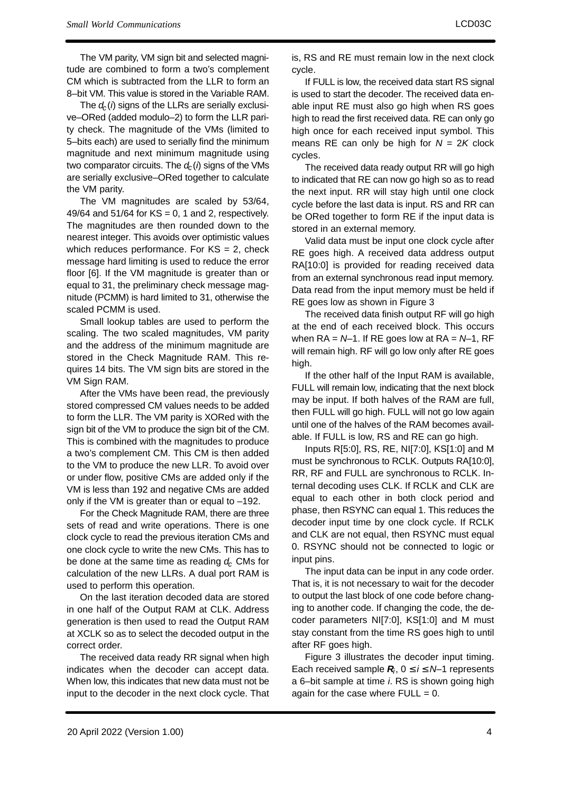The VM parity, VM sign bit and selected magni tude are combined to form a two's complementCM which is subtracted from the LLR to form an8–bit VM. This value is stored in the Variable RAM.

The  $d_{\!c}$ The  $d_c(i)$  signs of the LLRs are serially exclusi-<br>ve–ORed (added modulo–2) to form the LLR pari ty check. The magnitude of the VMs (limited to 5–bits each) are used to serially find the minimum magnitude and next minimum magnitude usingtwo comparator circuits. The  $d_c(\mathbf{\i})$  signs of the VMs are serially exclusive–ORed together to calculatethe VM parity.

The VM magnitudes are scaled by 53/64,49/64 and 51/64 for  $KS = 0$ , 1 and 2, respectively. The magnitudes are then rounded down to the nearest integer. This avoids over optimistic values which reduces performance. For KS = 2, check message hard limiting is used to reduce the error floor [6]. If the VM magnitude is greater than or equal to 31, the preliminary check message magnitude (PCMM) is hard limited to 31, otherwise thescaled PCMM is used.

Small lookup tables are used to perform the scaling. The two scaled magnitudes, VM parity and the address of the minimum magnitude are stored in the Check Magnitude RAM. This requires 14 bits. The VM sign bits are stored in theVM Sign RAM.

After the VMs have been read, the previously stored compressed CM values needs to be added to form the LLR. The VM parity is XORed with the sign bit of the VM to produce the sign bit of the CM.This is combined with the magnitudes to produce a two's complement CM. This CM is then added to the VM to produce the new LLR. To avoid over or under flow, positive CMs are added only if the VM is less than 192 and negative CMs are addedonly if the VM is greater than or equal to –192.

For the Check Magnitude RAM, there are three sets of read and write operations. There is one clock cycle to read the previous iteration CMs and one clock cycle to write the new CMs. This has tobe done at the same time as reading  $d_{\rm c}$  CMs for calculation of the new LLRs. A dual port RAM isused to perform this operation.

On the last iteration decoded data are stored in one half of the Output RAM at CLK. Address generation is then used to read the Output RAM at XCLK so as to select the decoded output in thecorrect order.

The received data ready RR signal when high indicates when the decoder can accept data.When low, this indicates that new data must not beinput to the decoder in the next clock cycle. That

is, RS and RE must remain low in the next clockcycle.

If FULL is low, the received data start RS signalis used to start the decoder. The received data enable input RE must also go high when RS goes high to read the first received data. RE can only go high once for each received input symbol. Thismeans RE can only be high for  $N = 2K$  clock cycles.

The received data ready output RR will go high to indicated that RE can now go high so as to read the next input. RR will stay high until one clock cycle before the last data is input. RS and RR can be ORed together to form RE if the input data isstored in an external memory.

Valid data must be input one clock cycle afterRE goes high. A received data address outputRA[10:0] is provided for reading received data from an external synchronous read input memory.Data read from the input memory must be held ifRE goes low as shown in Figure 3

 The received data finish output RF will go high at the end of each received block. This occurswhen  $RA = N-1$ . If RE goes low at  $RA = N-1$ , RF will remain high. RF will go low only after RE goeshigh.

If the other half of the Input RAM is available,FULL will remain low, indicating that the next block may be input. If both halves of the RAM are full,then FULL will go high. FULL will not go low again until one of the halves of the RAM becomes available. If FULL is low, RS and RE can go high.

Inputs R[5:0], RS, RE, NI[7:0], KS[1:0] and M must be synchronous to RCLK. Outputs RA[10:0],RR, RF and FULL are synchronous to RCLK. Internal decoding uses CLK. If RCLK and CLK are equal to each other in both clock period and phase, then RSYNC can equal 1. This reduces the decoder input time by one clock cycle. If RCLK and CLK are not equal, then RSYNC must equal0. RSYNC should not be connected to logic orinput pins.

The input data can be input in any code order.That is, it is not necessary to wait for the decoderto output the last block of one code before changing to another code. If changing the code, the decoder parameters NI[7:0], KS[1:0] and M muststay constant from the time RS goes high to untilafter RF goes high.

Figure 3 illustrates the decoder input timing.Each received sample  $\boldsymbol{R}_{i},\,0\leq i\leq \textit{N}\!\!-\!\!1$  represents a 6–bit sample at time *i*. RS is shown going high again for the case where  $FULL = 0$ .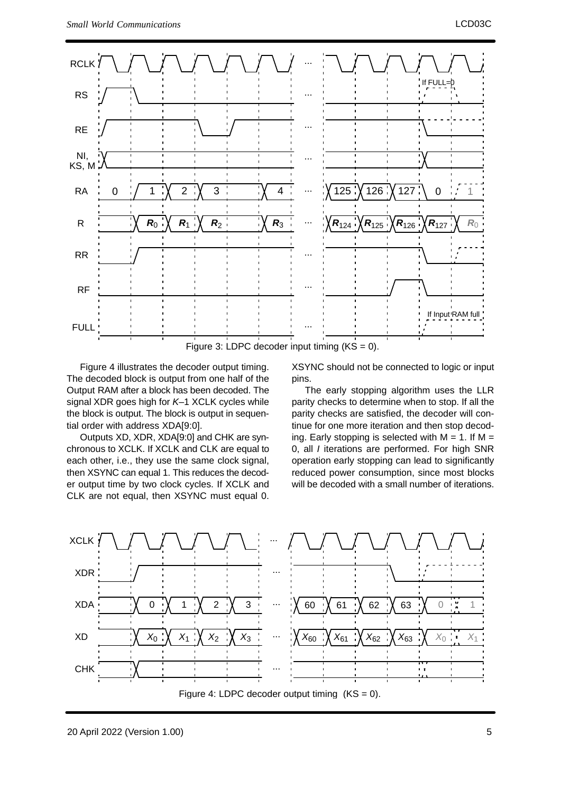

Figure 3: LDPC decoder input timing  $(KS = 0)$ .

Figure 4 illustrates the decoder output timing. The decoded block is output from one half of the Output RAM after a block has been decoded. Thesignal XDR goes high for *K*–1 XCLK cycles while the block is output. The block is output in sequential order with address XDA[9:0].

 Outputs XD, XDR, XDA[9:0] and CHK are syn chronous to XCLK. If XCLK and CLK are equal to each other, i.e., they use the same clock signal,then XSYNC can equal 1. This reduces the decod er output time by two clock cycles. If XCLK andCLK are not equal, then XSYNC must equal 0.

XSYNC should not be connected to logic or inputpins.

 The early stopping algorithm uses the LLR parity checks to determine when to stop. If all the parity checks are satisfied, the decoder will con tinue for one more iteration and then stop decoding. Early stopping is selected with  $M = 1$ . If  $M =$  0, all I iterations are performed. For high SNR operation early stopping can lead to significantly reduced power consumption, since most blockswill be decoded with a small number of iterations.

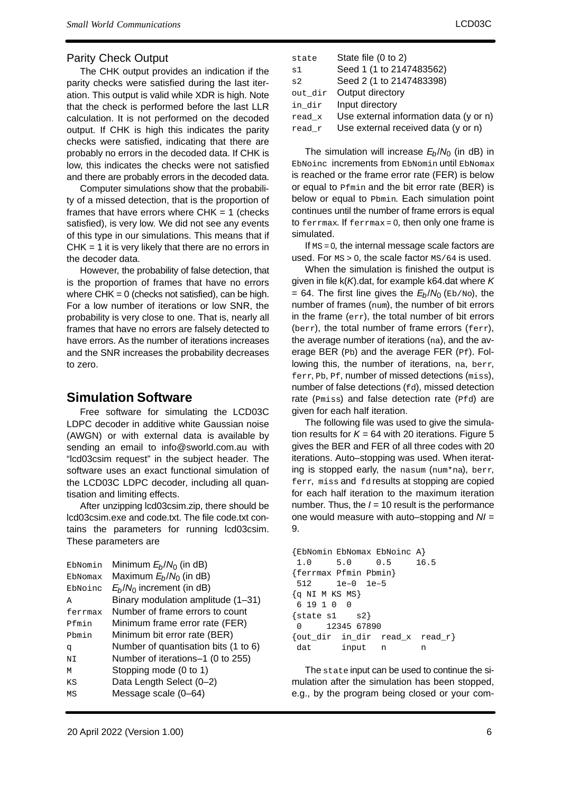### Parity Check Output

The CHK output provides an indication if the parity checks were satisfied during the last iter ation. This output is valid while XDR is high. Note that the check is performed before the last LLR calculation. It is not performed on the decoded output. If CHK is high this indicates the parity checks were satisfied, indicating that there are probably no errors in the decoded data. If CHK is low, this indicates the checks were not satisfiedand there are probably errors in the decoded data.

Computer simulations show that the probabili ty of a missed detection, that is the proportion offrames that have errors where CHK = 1 (checks satisfied), is very low. We did not see any events of this type in our simulations. This means that if $CHK = 1$  it is very likely that there are no errors in the decoder data.

However, the probability of false detection, that is the proportion of frames that have no errors where CHK = 0 (checks not satisfied), can be high.For a low number of iterations or low SNR, the probability is very close to one. That is, nearly allframes that have no errors are falsely detected to have errors. As the number of iterations increases and the SNR increases the probability decreasesto zero.

## **Simulation Software**

 Free software for simulating the LCD03C LDPC decoder in additive white Gaussian noise (AWGN) or with external data is available by sending an email to info@sworld.com.au with "lcd03csim request" in the subject header. The software uses an exact functional simulation ofthe LCD03C LDPC decoder, including all quantisation and limiting effects.

After unzipping lcd03csim.zip, there should be lcd03csim.exe and code.txt. The file code.txt con tains the parameters for running lcd03csim.These parameters are

| EbNomin | Minimum $E_b/N_0$ (in dB)            |
|---------|--------------------------------------|
| EbNomax | Maximum $E_b/N_0$ (in dB)            |
| EbNoinc | $E_b/N_0$ increment (in dB)          |
| A       | Binary modulation amplitude (1-31)   |
| ferrmax | Number of frame errors to count      |
| Pfmin   | Minimum frame error rate (FER)       |
| Phmin   | Minimum bit error rate (BER)         |
| q       | Number of quantisation bits (1 to 6) |
| NT      | Number of iterations-1 (0 to 255)    |
| м       | Stopping mode (0 to 1)               |
| ΚS      | Data Length Select (0-2)             |
| ΜS      | Message scale (0-64)                 |
|         |                                      |

| state   | State file (0 to 2)                    |
|---------|----------------------------------------|
| s1      | Seed 1 (1 to 2147483562)               |
| s2      | Seed 2 (1 to 2147483398)               |
| out dir | Output directory                       |
| in dir  | Input directory                        |
| read x  | Use external information data (y or n) |
| read r  | Use external received data (y or n)    |

The simulation will increase  $E_b/N_0$  (in dB) in EbNoinc increments from EbNomin until EbNomax is reached or the frame error rate (FER) is below or equal to Pfmin and the bit error rate (BER) is below or equal to Pbmin. Each simulation pointcontinues until the number of frame errors is equalto ferrmax. If ferrmax = 0, then only one frame is simulated.

If  $\text{\tiny MS}=$  0, the internal message scale factors are used. For  $ms > 0$ , the scale factor  $ms/64$  is used.

When the simulation is finished the output isgiven in file k(K).dat, for example k64.dat where K  $= 64$ . The first line gives the  $E_b/N_0$  (Eb/No), the number of frames (num), the number of bit errorsin the frame ( $_{\rm err}$ ), the total number of bit errors (berr), the total number of frame errors (ferr),the average number of iterations (na), and the average BER (Pb) and the average FER (Pf). Following this, the number of iterations, na, berr, ferr, Pb, Pf, number of missed detections (miss), number of false detections (fd), missed detection rate (Pmiss) and false detection rate (Pfd) aregiven for each half iteration.

The following file was used to give the simulation results for  $K = 64$  with 20 iterations. Figure 5 gives the BER and FER of all three codes with 20 iterations. Auto–stopping was used. When iterat ing is stopped early, the nasum (num\*na), berr,  $_{\mathtt{ferr,}}$   $_{\mathtt{miss}}$  and  $_{\mathtt{fd}}$  results at stopping are copied for each half iteration to the maximum iterationnumber. Thus, the  $I = 10$  result is the performance one would measure with auto–stopping and NI <sup>=</sup>9.

```
{EbNomin EbNomax EbNoinc A}16.5
1.0 5.0 0.5
{ferrmax Pfmin Pbmin} 512 1e–0 1e–5{q NI M KS MS} 6 19 1 0 0\{state s1 s2\}
 0 12345 67890
{out_dir in_dir read_x read_r}dat input n n
```
The state input can be used to continue the simulation after the simulation has been stopped, e.g., by the program being closed or your com-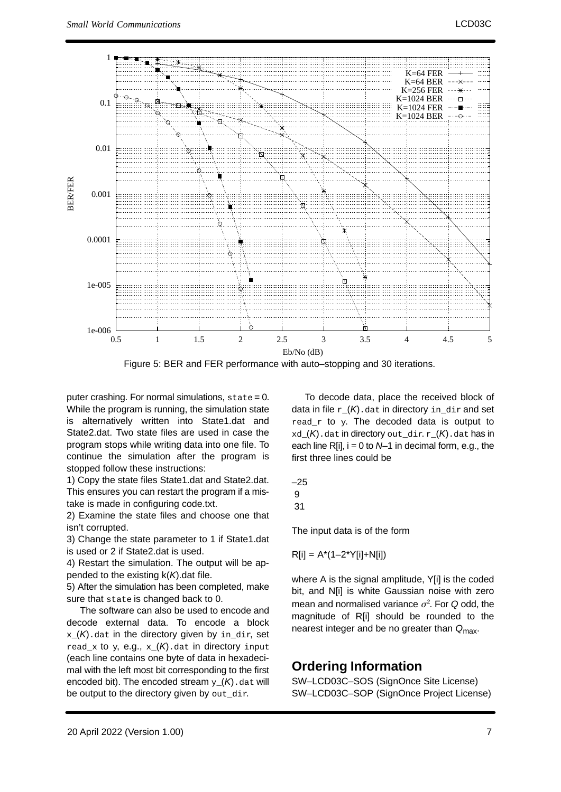

Figure 5: BER and FER performance with auto–stopping and 30 iterations.

puter crashing. For normal simulations, state = 0.While the program is running, the simulation state is alternatively written into State1.dat and State2.dat. Two state files are used in case the program stops while writing data into one file. To continue the simulation after the program isstopped follow these instructions:

1) Copy the state files State1.dat and State2.dat.This ensures you can restart the program if a mistake is made in configuring code.txt.

2) Examine the state files and choose one thatisn't corrupted.

 3) Change the state parameter to 1 if State1.datis used or 2 if State2.dat is used.

 4) Restart the simulation. The output will be appended to the existing  $k(K)$ . dat file.

5) After the simulation has been completed, makesure that state is changed back to 0.

 The software can also be used to encode and decode external data. To encode a block $\mathbf{x}$   $(\mathcal{K})$  dat in the directory given by in dir, set  $\texttt{read\_x}$  to  $\texttt{y}$ ,  $\texttt{e.g.}, \ \texttt{x\_(K)}$ .dat in directory  $\texttt{input}$  (each line contains one byte of data in hexadecimal with the left most bit corresponding to the firstencoded bit). The encoded stream  $y_{-}(K)$ . dat will be output to the directory given by out\_dir.

To decode data, place the received block ofdata in file  $r_-(\mathcal{K})$ .dat in directory in  $\det$  and set  $_{\rm{read\_r}}$  to  $_{\rm{y.}}$  The decoded data is output to  $xd_{n}(K)$ .dat in directory out\_dir.  $r_{n}(K)$ .dat has in each line  $R[i]$ ,  $i = 0$  to  $N-1$  in decimal form, e.g., the first three lines could be

$$
\begin{array}{c} -25 \\ 9 \\ 31 \end{array}
$$

The input data is of the form

$$
R[i] = A^*(1-2^*Y[i]+N[i])
$$

where A is the signal amplitude, Y[i] is the coded bit, and N[i] is white Gaussian noise with zeromean and normalised variance  $\sigma^2$ . For Q odd, the magnitude of R[i] should be rounded to thenearest integer and be no greater than  $Q_{\text{max}}$ .

## **Ordering Information**

 SW–LCD03C–SOS (SignOnce Site License)SW–LCD03C–SOP (SignOnce Project License)